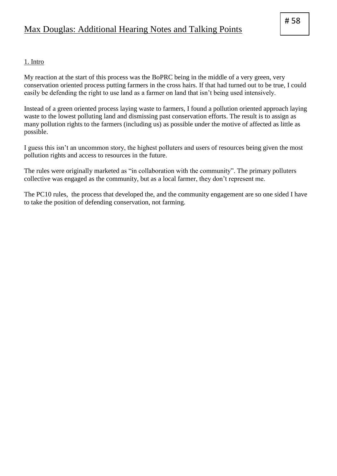# 1. Intro

My reaction at the start of this process was the BoPRC being in the middle of a very green, very conservation oriented process putting farmers in the cross hairs. If that had turned out to be true, I could easily be defending the right to use land as a farmer on land that isn't being used intensively.

Instead of a green oriented process laying waste to farmers, I found a pollution oriented approach laying waste to the lowest polluting land and dismissing past conservation efforts. The result is to assign as many pollution rights to the farmers (including us) as possible under the motive of affected as little as possible.

I guess this isn't an uncommon story, the highest polluters and users of resources being given the most pollution rights and access to resources in the future.

The rules were originally marketed as "in collaboration with the community". The primary polluters collective was engaged as the community, but as a local farmer, they don't represent me.

The PC10 rules, the process that developed the, and the community engagement are so one sided I have to take the position of defending conservation, not farming.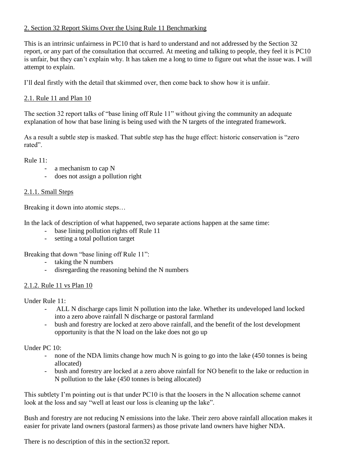# 2. Section 32 Report Skims Over the Using Rule 11 Benchmarking

This is an intrinsic unfairness in PC10 that is hard to understand and not addressed by the Section 32 report, or any part of the consultation that occurred. At meeting and talking to people, they feel it is PC10 is unfair, but they can't explain why. It has taken me a long to time to figure out what the issue was. I will attempt to explain.

I'll deal firstly with the detail that skimmed over, then come back to show how it is unfair.

### 2.1. Rule 11 and Plan 10

The section 32 report talks of "base lining off Rule 11" without giving the community an adequate explanation of how that base lining is being used with the N targets of the integrated framework.

As a result a subtle step is masked. That subtle step has the huge effect: historic conservation is "zero rated".

Rule 11:

- a mechanism to cap N
- does not assign a pollution right

#### 2.1.1. Small Steps

Breaking it down into atomic steps…

In the lack of description of what happened, two separate actions happen at the same time:

- base lining pollution rights off Rule 11
- setting a total pollution target

Breaking that down "base lining off Rule 11":

- taking the N numbers
- disregarding the reasoning behind the N numbers

#### 2.1.2. Rule 11 vs Plan 10

Under Rule 11:

- ALL N discharge caps limit N pollution into the lake. Whether its undeveloped land locked into a zero above rainfall N discharge or pastoral farmland
- bush and forestry are locked at zero above rainfall, and the benefit of the lost development opportunity is that the N load on the lake does not go up

Under PC 10:

- none of the NDA limits change how much N is going to go into the lake (450 tonnes is being allocated)
- bush and forestry are locked at a zero above rainfall for NO benefit to the lake or reduction in N pollution to the lake (450 tonnes is being allocated)

This subtlety I'm pointing out is that under PC10 is that the loosers in the N allocation scheme cannot look at the loss and say "well at least our loss is cleaning up the lake".

Bush and forestry are not reducing N emissions into the lake. Their zero above rainfall allocation makes it easier for private land owners (pastoral farmers) as those private land owners have higher NDA.

There is no description of this in the section32 report.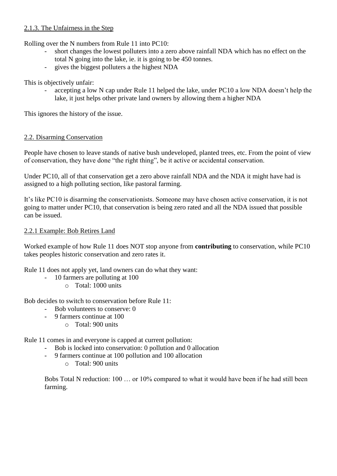# 2.1.3. The Unfairness in the Step

Rolling over the N numbers from Rule 11 into PC10:

- short changes the lowest polluters into a zero above rainfall NDA which has no effect on the total N going into the lake, ie. it is going to be 450 tonnes.
- gives the biggest polluters a the highest NDA

This is objectively unfair:

accepting a low N cap under Rule 11 helped the lake, under PC10 a low NDA doesn't help the lake, it just helps other private land owners by allowing them a higher NDA

This ignores the history of the issue.

## 2.2. Disarming Conservation

People have chosen to leave stands of native bush undeveloped, planted trees, etc. From the point of view of conservation, they have done "the right thing", be it active or accidental conservation.

Under PC10, all of that conservation get a zero above rainfall NDA and the NDA it might have had is assigned to a high polluting section, like pastoral farming.

It's like PC10 is disarming the conservationists. Someone may have chosen active conservation, it is not going to matter under PC10, that conservation is being zero rated and all the NDA issued that possible can be issued.

### 2.2.1 Example: Bob Retires Land

Worked example of how Rule 11 does NOT stop anyone from **contributing** to conservation, while PC10 takes peoples historic conservation and zero rates it.

Rule 11 does not apply yet, land owners can do what they want:

- 10 farmers are polluting at 100
	- o Total: 1000 units

Bob decides to switch to conservation before Rule 11:

- Bob volunteers to conserve: 0
- 9 farmers continue at 100
	- o Total: 900 units

Rule 11 comes in and everyone is capped at current pollution:

- Bob is locked into conservation: 0 pollution and 0 allocation
- 9 farmers continue at 100 pollution and 100 allocation
	- o Total: 900 units

Bobs Total N reduction: 100 … or 10% compared to what it would have been if he had still been farming.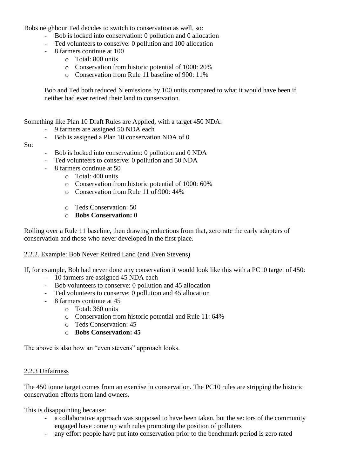Bobs neighbour Ted decides to switch to conservation as well, so:

- Bob is locked into conservation: 0 pollution and 0 allocation
- Ted volunteers to conserve: 0 pollution and 100 allocation
- 8 farmers continue at 100
	- o Total: 800 units
	- o Conservation from historic potential of 1000: 20%
	- o Conservation from Rule 11 baseline of 900: 11%

Bob and Ted both reduced N emissions by 100 units compared to what it would have been if neither had ever retired their land to conservation.

Something like Plan 10 Draft Rules are Applied, with a target 450 NDA:

- 9 farmers are assigned 50 NDA each
- Bob is assigned a Plan 10 conservation NDA of 0
- So:
- Bob is locked into conservation: 0 pollution and 0 NDA
- Ted volunteers to conserve: 0 pollution and 50 NDA
- 8 farmers continue at 50
	- o Total: 400 units
	- o Conservation from historic potential of 1000: 60%
	- o Conservation from Rule 11 of 900: 44%
	- o Teds Conservation: 50
	- o **Bobs Conservation: 0**

Rolling over a Rule 11 baseline, then drawing reductions from that, zero rate the early adopters of conservation and those who never developed in the first place.

#### 2.2.2. Example: Bob Never Retired Land (and Even Stevens)

If, for example, Bob had never done any conservation it would look like this with a PC10 target of 450:

- 10 farmers are assigned 45 NDA each
- Bob volunteers to conserve: 0 pollution and 45 allocation
- Ted volunteers to conserve: 0 pollution and 45 allocation
- 8 farmers continue at 45
	- o Total: 360 units
	- o Conservation from historic potential and Rule 11: 64%
	- o Teds Conservation: 45
	- o **Bobs Conservation: 45**

The above is also how an "even stevens" approach looks.

#### 2.2.3 Unfairness

The 450 tonne target comes from an exercise in conservation. The PC10 rules are stripping the historic conservation efforts from land owners.

This is disappointing because:

- a collaborative approach was supposed to have been taken, but the sectors of the community engaged have come up with rules promoting the position of polluters
- any effort people have put into conservation prior to the benchmark period is zero rated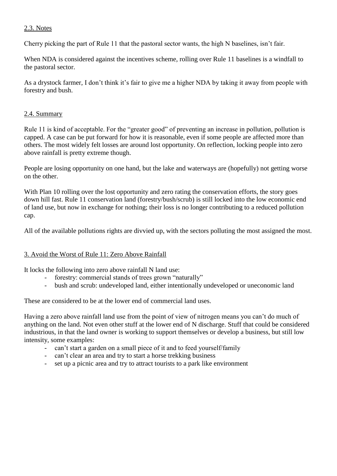# 2.3. Notes

Cherry picking the part of Rule 11 that the pastoral sector wants, the high N baselines, isn't fair.

When NDA is considered against the incentives scheme, rolling over Rule 11 baselines is a windfall to the pastoral sector.

As a drystock farmer, I don't think it's fair to give me a higher NDA by taking it away from people with forestry and bush.

#### 2.4. Summary

Rule 11 is kind of acceptable. For the "greater good" of preventing an increase in pollution, pollution is capped. A case can be put forward for how it is reasonable, even if some people are affected more than others. The most widely felt losses are around lost opportunity. On reflection, locking people into zero above rainfall is pretty extreme though.

People are losing opportunity on one hand, but the lake and waterways are (hopefully) not getting worse on the other.

With Plan 10 rolling over the lost opportunity and zero rating the conservation efforts, the story goes down hill fast. Rule 11 conservation land (forestry/bush/scrub) is still locked into the low economic end of land use, but now in exchange for nothing; their loss is no longer contributing to a reduced pollution cap.

All of the available pollutions rights are divvied up, with the sectors polluting the most assigned the most.

## 3. Avoid the Worst of Rule 11: Zero Above Rainfall

It locks the following into zero above rainfall N land use:

- forestry: commercial stands of trees grown "naturally"
- bush and scrub: undeveloped land, either intentionally undeveloped or uneconomic land

These are considered to be at the lower end of commercial land uses.

Having a zero above rainfall land use from the point of view of nitrogen means you can't do much of anything on the land. Not even other stuff at the lower end of N discharge. Stuff that could be considered industrious, in that the land owner is working to support themselves or develop a business, but still low intensity, some examples:

- can't start a garden on a small piece of it and to feed yourself/family
- can't clear an area and try to start a horse trekking business
- set up a picnic area and try to attract tourists to a park like environment